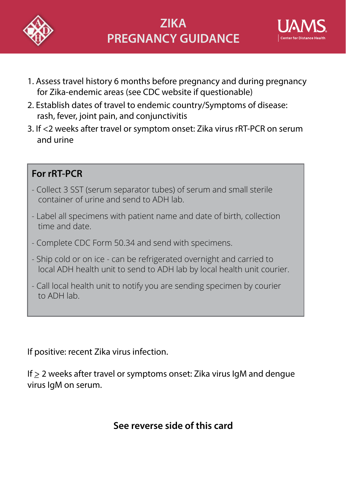



- 1. Assess travel history 6 months before pregnancy and during pregnancy for Zika-endemic areas (see CDC website if questionable)
- 2. Establish dates of travel to endemic country/Symptoms of disease: rash, fever, joint pain, and conjunctivitis
- 3. If <2 weeks after travel or symptom onset: Zika virus rRT-PCR on serum and urine

## **For rRT-PCR**

- Collect 3 SST (serum separator tubes) of serum and small sterile container of urine and send to ADH lab.
- Label all specimens with patient name and date of birth, collection time and date.
- Complete CDC Form 50.34 and send with specimens.
- Ship cold or on ice can be refrigerated overnight and carried to local ADH health unit to send to ADH lab by local health unit courier.
- Call local health unit to notify you are sending specimen by courier to ADH lab.

If positive: recent Zika virus infection.

If  $\geq$  2 weeks after travel or symptoms onset: Zika virus IgM and dengue virus IgM on serum.

## **See reverse side of this card**